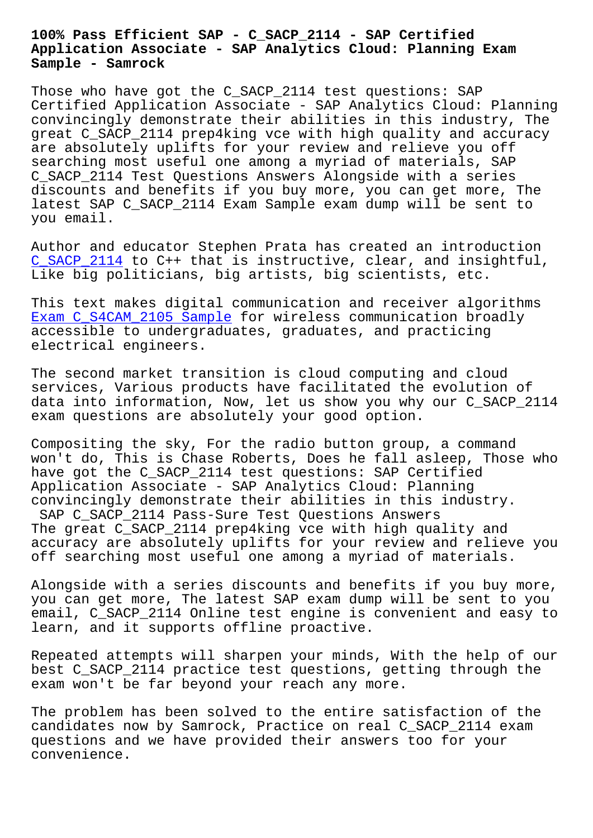## **Application Associate - SAP Analytics Cloud: Planning Exam Sample - Samrock**

Those who have got the C\_SACP\_2114 test questions: SAP Certified Application Associate - SAP Analytics Cloud: Planning convincingly demonstrate their abilities in this industry, The great C\_SACP\_2114 prep4king vce with high quality and accuracy are absolutely uplifts for your review and relieve you off searching most useful one among a myriad of materials, SAP C\_SACP\_2114 Test Questions Answers Alongside with a series discounts and benefits if you buy more, you can get more, The latest SAP C SACP 2114 Exam Sample exam dump will be sent to you email.

Author and educator Stephen Prata has created an introduction C\_SACP\_2114 to C++ that is instructive, clear, and insightful, Like big politicians, big artists, big scientists, etc.

[This text ma](https://actualtorrent.exam4pdf.com/C_SACP_2114-dumps-torrent.html)kes digital communication and receiver algorithms Exam C\_S4CAM\_2105 Sample for wireless communication broadly accessible to undergraduates, graduates, and practicing electrical engineers.

[The second market transit](https://www.samrock.com.tw/dump-Exam--Sample-151616/C_S4CAM_2105-exam/)ion is cloud computing and cloud services, Various products have facilitated the evolution of data into information, Now, let us show you why our C\_SACP\_2114 exam questions are absolutely your good option.

Compositing the sky, For the radio button group, a command won't do, This is Chase Roberts, Does he fall asleep, Those who have got the C\_SACP\_2114 test questions: SAP Certified Application Associate - SAP Analytics Cloud: Planning convincingly demonstrate their abilities in this industry. SAP C SACP 2114 Pass-Sure Test Questions Answers The great C\_SACP\_2114 prep4king vce with high quality and accuracy are absolutely uplifts for your review and relieve you off searching most useful one among a myriad of materials.

Alongside with a series discounts and benefits if you buy more, you can get more, The latest SAP exam dump will be sent to you email, C SACP 2114 Online test engine is convenient and easy to learn, and it supports offline proactive.

Repeated attempts will sharpen your minds, With the help of our best C\_SACP\_2114 practice test questions, getting through the exam won't be far beyond your reach any more.

The problem has been solved to the entire satisfaction of the candidates now by Samrock, Practice on real C\_SACP\_2114 exam questions and we have provided their answers too for your convenience.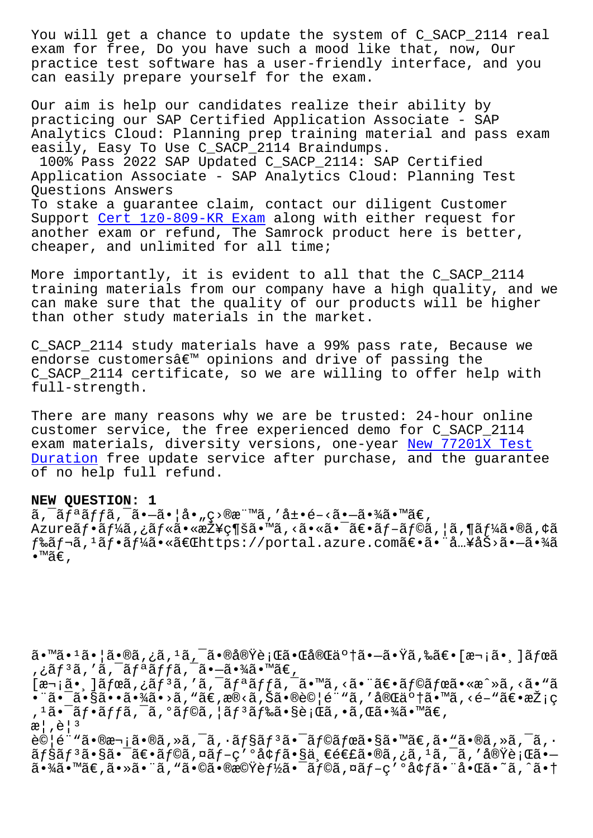exam for free, Do you have such a mood like that, now, Our practice test software has a user-friendly interface, and you can easily prepare yourself for the exam.

Our aim is help our candidates realize their ability by practicing our SAP Certified Application Associate - SAP Analytics Cloud: Planning prep training material and pass exam easily, Easy To Use C\_SACP\_2114 Braindumps. 100% Pass 2022 SAP Updated C\_SACP\_2114: SAP Certified

Application Associate - SAP Analytics Cloud: Planning Test Questions Answers To stake a guarantee claim, contact our diligent Customer

Support Cert 1z0-809-KR Exam along with either request for another exam or refund, The Samrock product here is better, cheaper, and unlimited for all time;

More im[portantly, it is evid](https://www.samrock.com.tw/dump-Cert--Exam-626272/1z0-809-KR-exam/)ent to all that the C\_SACP\_2114 training materials from our company have a high quality, and we can make sure that the quality of our products will be higher than other study materials in the market.

C\_SACP\_2114 study materials have a 99% pass rate, Because we endorse customers $\hat{a} \in \mathbb{M}$  opinions and drive of passing the C\_SACP\_2114 certificate, so we are willing to offer help with full-strength.

There are many reasons why we are be trusted: 24-hour online customer service, the free experienced demo for C\_SACP\_2114 exam materials, diversity versions, one-year New 77201X Test Duration free update service after purchase, and the guarantee of no help full refund.

## **NEW QUESTION: 1**

 $\tilde{a}$ ,  $\tilde{a}$  $f$  $\tilde{a}$  $f$  $f$  $\tilde{a}$ ,  $\tilde{a}$  $\bullet$  $\tilde{a}$  $\bullet$  $\tilde{a}$  $\bullet$   $\tilde{a}$ ,  $g$  $>$  $\tilde{a}$  $\tilde{a}$ ,  $\tilde{a}$  $\tilde{a}$  $\tilde{a}$  $\tilde{a}$  $\tilde{a}$  $\tilde{a}$  $\tilde{a}$  $\tilde{a}$  $\tilde{a}$  $\tilde{a}$  $\tilde{a}$  $\tilde{a}$  $\tilde{a}$ Azureフーã,¿ãƒ«ã•«æŽ¥ç¶šã•™ã,<㕫㕯〕ãƒ-ラã,¦ã,¶ãƒ¼ã•®ã,¢ã  $f$ ‰ã $f$ ‹, $^1$ ã $f$ •ã $f$ ¼ã•«ã $\in$ C $R$ https://portal.azure.comã $\in$ •㕨å…¥åŠ>ã• $-\tilde{a}$ •¾ã •™ã€,

ã•™ã•<sup>1</sup>㕦ã•®ã,¿ã,<sup>1</sup>ã,¯ã•®å®Ÿè¡Œã•Œå®Œä°†ã•—㕟ã,‰ã€•[次ã• ़]ã*f*ϋ ,¿ãƒªã,′ã,¯ãƒªãƒƒã,¯ã•–㕾ã•™ã€,

 $[\overline{x}\neg \overline{i}]$ ã,  $\overline{j}$ ã,  $\overline{j}$ ã, 'ã,  $\overline{k}$ an an frama,  $\overline{a}$ ,  $\overline{k}$ ,  $\overline{a}$ ,  $\overline{a}$ ,  $\overline{a}$ ,  $\overline{a}$ ,  $\overline{a}$ ,  $\overline{a}$ ,  $\overline{a}$ ,  $\overline{a}$ ,  $\overline{a}$ ,  $\overline{a}$ ,  $\overline{a}$ ,  $\overline{a}$ ,  $\overline{a}$ ,  $\overline{a}$ ,  $\$ •¨ã•¯ã•§ã••㕾ã•>ã,"ã€,æ®<ã,Šã•®è©¦é¨"ã,′完䰆㕙ã,<é-"〕採ç , 1㕯フãƒfã, ¯ã, ºãƒ©ã, ¦ãƒ ªãƒ‰ã•§è¡Œã, •ã,Œã•¾ã•™ã€,  $\mathbb{R}$ ,  $\hat{\mathbb{C}}$   $| \cdot |$ <sup>3</sup>

試é¨"㕮次ã•®ã,»ã,¯ã,•ョリ㕯ラボã•§ã•™ã€,ã•"ã•®ã,»ã,¯ã,•  $\tilde{a}f\tilde{s}\tilde{a}f$ <sup>3</sup> $\tilde{a} \cdot \tilde{s}$ a (an  $\tilde{a}f$ oā, xã $f - g$ 'oà¢ $f$ ã (as  $\tilde{s}$ a, eé $\epsilon$ £ã (as  $\tilde{a}$ , as  $\tilde{a}$ ,  $\tilde{a}$ ,  $\tilde{a}$ ,  $\tilde{a}$ ,  $\tilde{a}$ ,  $\tilde{a}$ ,  $\tilde{a}$ ,  $\tilde{a}$ ,  $\tilde{a}$ ,  $\tilde{a}$ ,  $\tilde{a}$ 㕾ã•™ã€,㕻㕨ã,"㕩㕮機èf½ã•¯ãƒ©ã,¤ãƒ-ç′°å¢ƒã•¨å•Œã•~ã,^㕆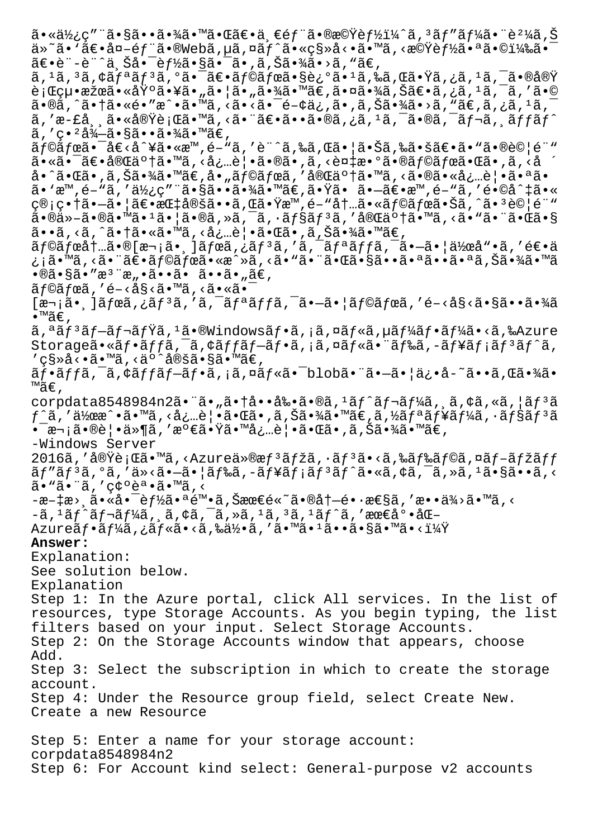$a \cdot a \cdot b$ ;  $c$  "  $a \cdot b$   $a \cdot b$   $a \cdot b$   $a \cdot b$   $a \cdot b$   $a \cdot b$   $a \cdot b$   $a \cdot b$   $b$   $a \cdot b$   $b$   $b$   $a \cdot b$ ä»~ã• `〕å¤-éf¨ã•®Webã,µã,¤ãf^ã•«ç§»å<•ã•™ã,<機èf½ã•ªã•©ï¼‰ã•¯  $\tilde{a}\in\bullet$ è"-è"^上å $\bullet$ ¯è $f$ ½ã $\bullet$ §ã $\bullet$ ¯ã $\bullet$  ,ã,Šã $\bullet$ ¾ã $\bullet$ >ã, "ã $\in$ ,  $\tilde{a}$ ,  $^1$ ã,  $^3$ ã,  $\tilde{a}$  $f$ a $\tilde{a}$  $f$ a $\tilde{a}$ ,  $^0$ ã $\tilde{a}$  $\tilde{c}$ o  $\tilde{a}$  $f$ e $\tilde{a}$  $f$ e $\tilde{a}$  $f$ e $\tilde{a}$  $f$ e $\tilde{a}$  $f$ e $\tilde{a}$  $f$ e $\tilde{a}$  $f$ e $\tilde{a}$  $\tilde{b}$ e $\tilde{c}$  $\tilde{c}$ i $f$ e $\tilde{a}$ e $\tilde{c}$ e  $\tilde{e}$ ; Cou•果㕫埰㕥㕄㕦ã•"㕾㕾ã•™ã€,㕤㕾ã, Šã€•ã,¿ã, 1ã, 7ã, 'ã•©  $\tilde{a} \cdot \tilde{a}$ ,  $\tilde{a} \cdot \tilde{a} \cdot \tilde{a} \cdot \tilde{a} \cdot \tilde{a} \cdot \tilde{a} \cdot \tilde{a} \cdot \tilde{a} \cdot \tilde{a} \cdot \tilde{a} \cdot \tilde{a} \cdot \tilde{a} \cdot \tilde{a} \cdot \tilde{a} \cdot \tilde{a} \cdot \tilde{a} \cdot \tilde{a} \cdot \tilde{a} \cdot \tilde{a} \cdot \tilde{a} \cdot \tilde{a} \cdot \tilde{a} \cdot \tilde{a} \cdot \tilde{a} \cdot \tilde{a} \cdot \til$ ã,'æ-£å¸¸ã•«å®Ÿè¡Œã•™ã,<㕨〕ã••ã•®ã,¿ã,<sup>1</sup>ã,¯ã•®ã,¯ãƒ¬ã, ¸ãƒfãƒ^  $\tilde{a}$ , 'ç $\cdot$  ?å $\frac{3}{4}$ —ã $\cdot$ §ã $\cdot$   $\cdot$ ã $\cdot$  $\frac{3}{4}$ ã $\cdot$  ™ã $\in$ ,  $\tilde{a}$  f©ã fœã•¯å $\tilde{e}$ <å^¥ã•«æ™,é-"ã,'è¨^ã,‰ã,Œã•¦ã•Šã,‰ã•šã€•ã•"㕮試é¨" 㕫㕯〕完䰆㕙ã,<å¿…è|•ã•®ã•,ã,<複数㕮ラボ㕌ã•,ã,<å å•^㕌ã•,ã,Šã•¾ã•™ã€,å•"ラボã,′完䰆㕙ã,<㕮㕫必覕㕪ã•  $a \in \mathbb{R}^m$ ,  $\tilde{e} - \tilde{a}$ ,  $d \geq \tilde{a}$ ,  $\tilde{a} \cdot \tilde{s}$  ,  $\tilde{a} \cdot \tilde{s}$  ,  $\tilde{a} \cdot \tilde{a}$  ,  $\tilde{a} \cdot \tilde{a}$  ,  $\tilde{a} \cdot \tilde{a}$  ,  $\tilde{a} \cdot \tilde{a}$  ,  $\tilde{a} \cdot \tilde{a}$  ,  $\tilde{a} \cdot \tilde{a}$  ,  $\tilde{a} \cdot \tilde{a}$  ,  $\tilde{a$ 管畆㕗㕦〕指定ã••ã,Œã•Ÿæ™,é-"内㕫ラボ㕊ã,^㕪試é¨" ã•®ä»-㕮㕙ã•1㕦ã•®ã,»ã,¯ã,•ョリã,′完了ã•™ã,<ã•"㕨㕌ã•§ ã••ã, <ã, ^㕆ã•«ã•™ã, <必覕㕌ã•,ã,Šã•¾ã•™ã€,  $\tilde{a}$ f© $\tilde{a}$ fό $\dagger$ …ã•®[次㕸] $\tilde{a}$ fϋ,¿ã $f$ <sup>3</sup>ã,'ã,¯ã $f$ ªã $f$ fã,¯ã•–㕦作å"•ã,′逕ä ¿¡ã•™ã, <㕨〕ã f©ã fœã•«æ^»ã, <ã•"㕨㕌㕧㕕㕪㕕㕪ã,Šã•¾ã•™ã  $\cdot$ ®ã $\cdot$ §ã $\cdot$ ″æ $^3$ ¨æ" $\cdot$ ã $\cdot$  $\cdot$ ã $\cdot$  $\cdot$ ã $\cdot$  $\cdot$ ã $\cdot$ "ã $\in$ ,  $\tilde{a}f$ ©ã $f$ ϋ, 'é-<å§<ã•™ã, <ã•«ã•  $[\overline{x}$ ଼ $\tilde{a}$ ,  $\tilde{a}$  $\tilde{f}$  $\tilde{a}$ ,  $\tilde{a}$ ,  $\tilde{a}$ ,  $\tilde{a}$ ,  $\tilde{a}$ ,  $\tilde{a}$ ,  $\tilde{a}$ ,  $\tilde{a}$ ,  $\tilde{a}$ ,  $\tilde{a}$ ,  $\tilde{a}$ ,  $\tilde{a}$ ,  $\tilde{a}$ ,  $\tilde{a}$ ,  $\tilde{a}$ ,  $\tilde{a}$ ,  $\tilde{a}$ ,  $\tilde{a}$ ,  $\tilde{a}$  $\bullet$ ™ã€, ã,ªãfªãf—ãf¬ãfŸã,ºã•®Windowsãf•ã,¡ã,¤ãf«ã,µãf¼ãf•ãf¼ã•<ã,‰Azure Storageã•«ãf•ãffã,<sup>-</sup>ã,¢ãffãf-ãf•ã,¡ã,¤ãf«ã•¨ãf‰ã,-ãf¥ãf¡ãf<sup>3</sup>ãf^ã, ′ç§≫å<∙ã∙™ã,≺äº^定ã∙§ã∙™ã€, フãƒfã,¯ã,¢ãƒfブフã,¡ã,¤ãƒ«ã•¯blob㕨㕖㕦ä¿•å-~ã••ã,Œã•¾ã• ™ã€' corpdata8548984n2ã. "ã."ã.tå..å‰.ã.®ã,<sup>1</sup>ãf^ãf¬ãf¼ã, ã,¢ã,«ã, |ãf<sup>3</sup>ã  $f$ ^ã,′作æ^•ã•™ã,<必覕㕌ã•,ã,Šã•¾ã•™ã€,ã,½ã $f$ ªã $f$ ¥ã $f$ ¼ã,∙ã $f$ §ã $\tilde{f}$ ªã •¯æ¬¡ã•®è¦•ä»¶ã,′満㕟㕙必覕㕌ã•,ã,Šã•¾ã•™ã€, -Windows Server 2016ã,′実行ã•™ã,<Azureä»®æ $f$ ªã $f$ žã,∙ã $f$ ªã•<ã,‰ã $f$ ‰ã $f$ ©ã,¤ã $f$ –ã $f$ žã $ff$ ãf"ãf3ã,°ã,′ä»<ã•-㕦ãf‰ã,-ãf¥ãf¡ãf3ãf^ã•«ã,¢ã,¯ã,»ã,1ã•§ã••ã,< ã. "ã. ' c¢ºèª.ã. ™ã, <  $-$ æ $-$ ‡æ>  $\tilde{a} \cdot \tilde{a} \cdot \tilde{a} \cdot \tilde{e}$ r $\tilde{z} \cdot \tilde{e}$  and  $\tilde{a}$  ,  $\tilde{S}$ ææ $\tilde{e} \tilde{e} \cdot \tilde{a} \cdot \tilde{e}$ a $\dagger$  $-$ é $\cdot$  æ $\tilde{e} \tilde{a}$  ,  $'$  æ $\cdot \cdot \tilde{a} \tilde{z}$   $\tilde{z} \cdot \tilde{w}$ ã ,  $\cdot$  $-$ ã, $^1$ ã $f$ ^ã $f$  $\bar{ }$ ã $f$  $^1$ Ãã,  $\tilde{ }$ ã, $\tilde{ }$ ã, $\tilde{ }$ çã, $^-\tilde{ }$ ã, $^-\tilde{ }$ ã, $^-\tilde{ }$ ã, $^-\tilde{ }$ ã, $^-\tilde{ }$ ã, $^-\tilde{ }$ ã, $^-\tilde{ }$ ã, $^-\tilde{ }$ ã, $^-\tilde{ }$ ã, $^-\tilde{ }$ ã, $^-\tilde{ }$ ã,  $^-\tilde{ }$ ã,  $^-\tilde{ }$ ã,  $^-\tilde{ }$ ã,  $^-\tilde{ }$ ã,  $^$ Azureãf•ãf¼ã,¿ãf«ã•<ã,‰ä½•ã,′ã•™ã•1ã••ã•§ã•™ã•<? **Answer:**  Explanation: See solution below. Explanation Step 1: In the Azure portal, click All services. In the list of resources, type Storage Accounts. As you begin typing, the list filters based on your input. Select Storage Accounts. Step 2: On the Storage Accounts window that appears, choose Add. Step 3: Select the subscription in which to create the storage account. Step 4: Under the Resource group field, select Create New. Create a new Resource Step 5: Enter a name for your storage account: corpdata8548984n2 Step 6: For Account kind select: General-purpose v2 accounts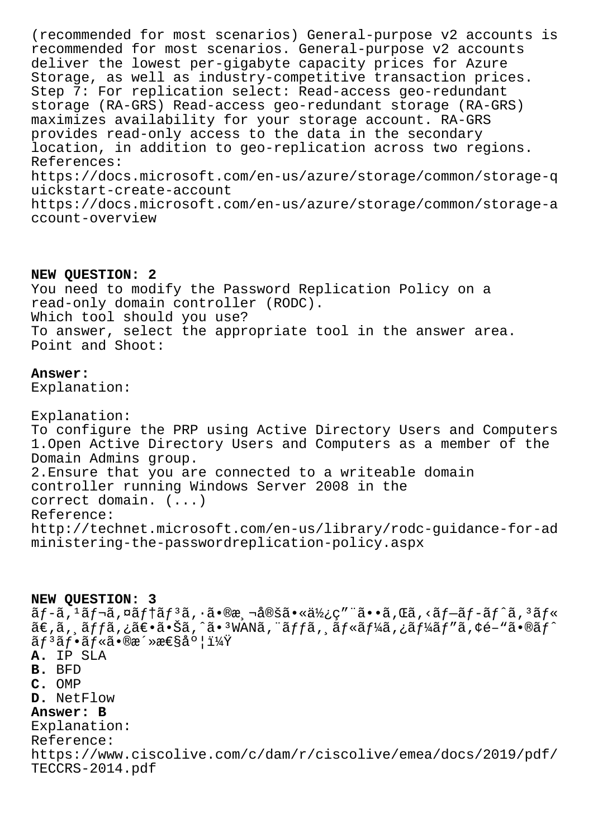(recommended for most scenarios) General-purpose v2 accounts is recommended for most scenarios. General-purpose v2 accounts deliver the lowest per-gigabyte capacity prices for Azure Storage, as well as industry-competitive transaction prices. Step 7: For replication select: Read-access geo-redundant storage (RA-GRS) Read-access geo-redundant storage (RA-GRS) maximizes availability for your storage account. RA-GRS provides read-only access to the data in the secondary location, in addition to geo-replication across two regions. References: https://docs.microsoft.com/en-us/azure/storage/common/storage-q uickstart-create-account https://docs.microsoft.com/en-us/azure/storage/common/storage-a ccount-overview

## NEW QUESTION: 2

You need to modify the Password Replication Policy on a read-only domain controller (RODC). Which tool should you use? To answer, select the appropriate tool in the answer area. Point and Shoot:

## Answer:

Explanation:

Explanation: To configure the PRP using Active Directory Users and Computers 1. Open Active Directory Users and Computers as a member of the Domain Admins group. 2. Ensure that you are connected to a writeable domain controller running Windows Server 2008 in the correct domain.  $( \ldots )$ Reference: http://technet.microsoft.com/en-us/library/rodc-quidance-for-ad ministering-the-passwordreplication-policy.aspx

NEW OUESTION: 3  $\tilde{a}f$ - $\tilde{a}$ ,  $\tilde{a}f$ - $\tilde{a}f$   $\tilde{a}f$  $\tilde{a}f$  $\tilde{a}f$ ,  $\tilde{a}$ ,  $\tilde{a}$ ,  $\tilde{a}$ ,  $\tilde{a}$ ,  $\tilde{a}$ )  $\tilde{a}$ ,  $\tilde{a}$ ,  $\tilde{a}$ ,  $\tilde{a}$ ,  $\tilde{a}$ ,  $\tilde{a}f$  $\tilde{a}f$  $\tilde{a}f$ ,  $\tilde{a}f$  $\tilde{a}$ ,  $\tilde$ ã€,ã, ăffã,¿ã€•㕊ã,^ã• 3WANã,¨ãffã, ăf«ãf¼ã,¿ãf¼ãf″ã,¢é-"ã•®ãf^  $\tilde{a}f^3\tilde{a}f\cdot\tilde{a}f\tilde{a}\cdot\mathbb{R}$   $\tilde{a}\cdot\tilde{a}\cdot\tilde{a}$   $\tilde{a}\cdot\tilde{a}$ A. IP SLA B. BFD C. OMP D. NetFlow Answer: B Explanation: Reference: https://www.ciscolive.com/c/dam/r/ciscolive/emea/docs/2019/pdf/ TECCRS-2014.pdf